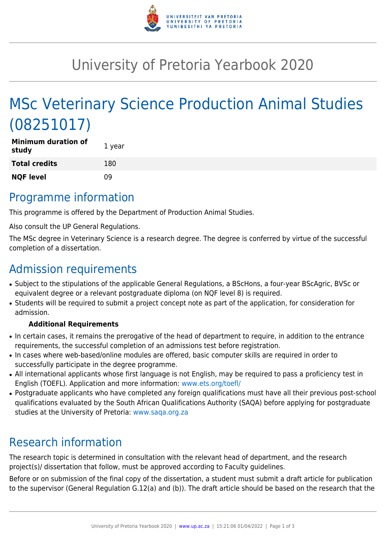

# University of Pretoria Yearbook 2020

# MSc Veterinary Science Production Animal Studies (08251017)

| <b>Minimum duration of</b><br>study | 1 year |
|-------------------------------------|--------|
| <b>Total credits</b>                | 180    |
| <b>NQF level</b>                    | 09     |

### Programme information

This programme is offered by the Department of Production Animal Studies.

Also consult the UP General Regulations.

The MSc degree in Veterinary Science is a research degree. The degree is conferred by virtue of the successful completion of a dissertation.

## Admission requirements

- Subject to the stipulations of the applicable General Regulations, a BScHons, a four-year BScAgric, BVSc or equivalent degree or a relevant postgraduate diploma (on NQF level 8) is required.
- Students will be required to submit a project concept note as part of the application, for consideration for admission.

#### **Additional Requirements**

- In certain cases, it remains the prerogative of the head of department to require, in addition to the entrance requirements, the successful completion of an admissions test before registration.
- In cases where web-based/online modules are offered, basic computer skills are required in order to successfully participate in the degree programme.
- All international applicants whose first language is not English, may be required to pass a proficiency test in English (TOEFL). Application and more information: [www.ets.org/toefl/](http://www.ets.org/toefl/)
- Postgraduate applicants who have completed any foreign qualifications must have all their previous post-school qualifications evaluated by the South African Qualifications Authority (SAQA) before applying for postgraduate studies at the University of Pretoria: [www.saqa.org.za](http://www.saqa.org.za)

## Research information

The research topic is determined in consultation with the relevant head of department, and the research project(s)/ dissertation that follow, must be approved according to Faculty guidelines.

Before or on submission of the final copy of the dissertation, a student must submit a draft article for publication to the supervisor (General Regulation G.12(a) and (b)). The draft article should be based on the research that the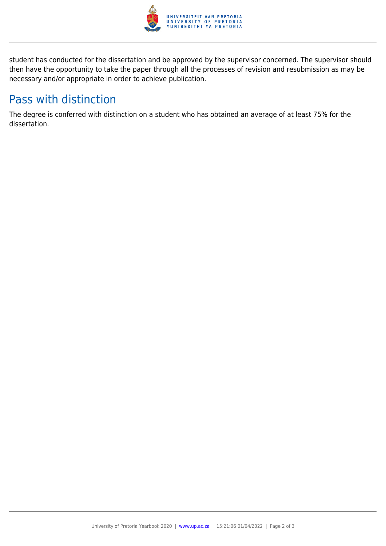

student has conducted for the dissertation and be approved by the supervisor concerned. The supervisor should then have the opportunity to take the paper through all the processes of revision and resubmission as may be necessary and/or appropriate in order to achieve publication.

## Pass with distinction

The degree is conferred with distinction on a student who has obtained an average of at least 75% for the dissertation.